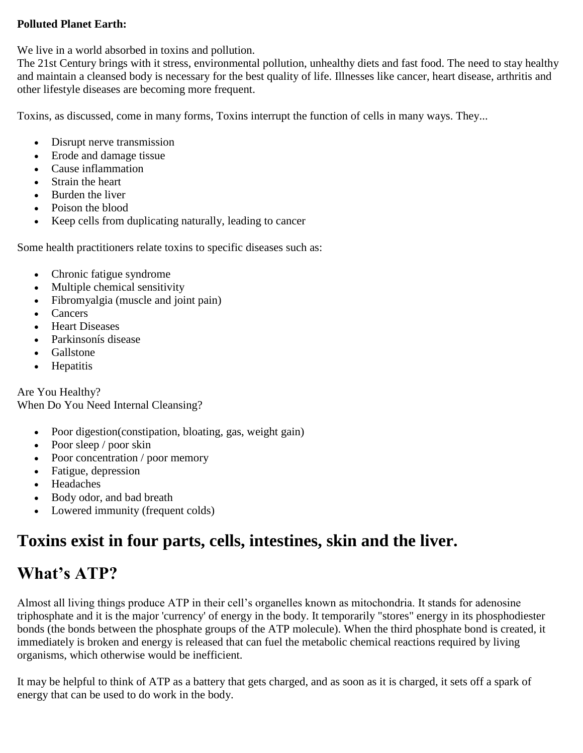#### **Polluted Planet Earth:**

We live in a world absorbed in toxins and pollution.

The 21st Century brings with it stress, environmental pollution, unhealthy diets and fast food. The need to stay healthy and maintain a cleansed body is necessary for the best quality of life. Illnesses like cancer, heart disease, arthritis and other lifestyle diseases are becoming more frequent.

Toxins, as discussed, come in many forms, Toxins interrupt the function of cells in many ways. They...

- Disrupt nerve transmission
- Erode and damage tissue
- Cause inflammation
- Strain the heart
- Burden the liver
- Poison the blood
- Keep cells from duplicating naturally, leading to cancer

Some health practitioners relate toxins to specific diseases such as:

- Chronic fatigue syndrome
- Multiple chemical sensitivity
- Fibromyalgia (muscle and joint pain)
- Cancers
- Heart Diseases
- Parkinsonís disease
- Gallstone
- Hepatitis

Are You Healthy? When Do You Need Internal Cleansing?

- Poor digestion(constipation, bloating, gas, weight gain)
- Poor sleep / poor skin
- Poor concentration / poor memory
- Fatigue, depression
- Headaches
- Body odor, and bad breath
- Lowered immunity (frequent colds)

# **Toxins exist in four parts, cells, intestines, skin and the liver.**

# **What's ATP?**

Almost all living things produce ATP in their cell's organelles known as mitochondria. It stands for adenosine triphosphate and it is the major 'currency' of energy in the body. It temporarily "stores" energy in its phosphodiester bonds (the bonds between the phosphate groups of the ATP molecule). When the third phosphate bond is created, it immediately is broken and energy is released that can fuel the metabolic chemical reactions required by living organisms, which otherwise would be inefficient.

It may be helpful to think of ATP as a battery that gets charged, and as soon as it is charged, it sets off a spark of energy that can be used to do work in the body.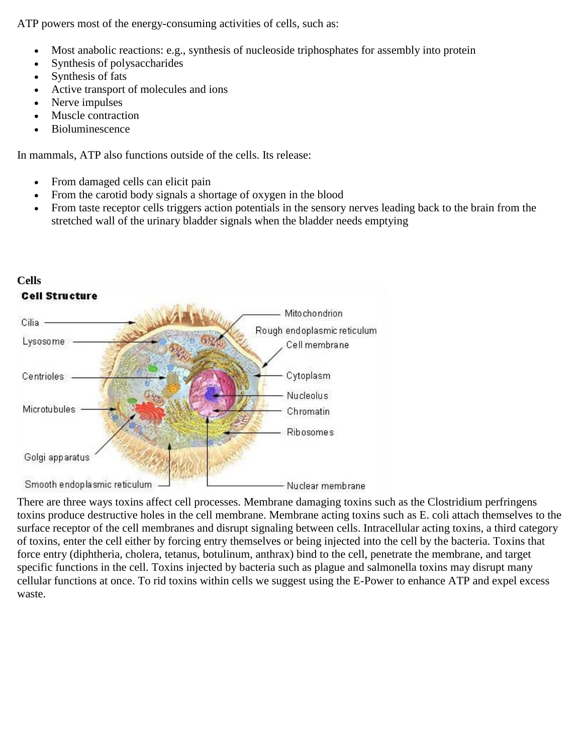ATP powers most of the energy-consuming activities of cells, such as:

- Most anabolic reactions: e.g., synthesis of nucleoside triphosphates for assembly into protein
- Synthesis of polysaccharides
- Synthesis of fats
- Active transport of molecules and ions
- Nerve impulses
- Muscle contraction
- Bioluminescence

In mammals, ATP also functions outside of the cells. Its release:

- From damaged cells can elicit pain
- From the carotid body signals a shortage of oxygen in the blood
- From taste receptor cells triggers action potentials in the sensory nerves leading back to the brain from the stretched wall of the urinary bladder signals when the bladder needs emptying



There are three ways toxins affect cell processes. Membrane damaging toxins such as the Clostridium perfringens toxins produce destructive holes in the cell membrane. Membrane acting toxins such as E. coli attach themselves to the surface receptor of the cell membranes and disrupt signaling between cells. Intracellular acting toxins, a third category of toxins, enter the cell either by forcing entry themselves or being injected into the cell by the bacteria. Toxins that force entry (diphtheria, cholera, tetanus, botulinum, anthrax) bind to the cell, penetrate the membrane, and target specific functions in the cell. Toxins injected by bacteria such as plague and salmonella toxins may disrupt many cellular functions at once. To rid toxins within cells we suggest using the E-Power to enhance ATP and expel excess waste.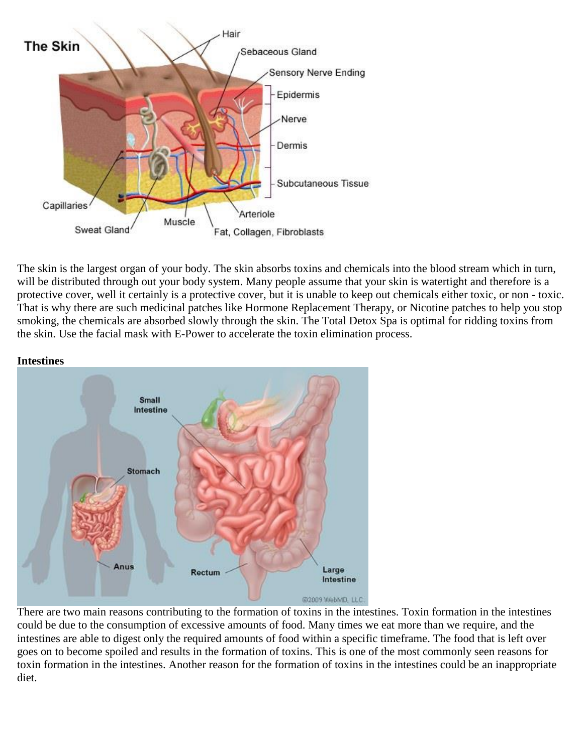

The skin is the largest organ of your body. The skin absorbs toxins and chemicals into the blood stream which in turn, will be distributed through out your body system. Many people assume that your skin is watertight and therefore is a protective cover, well it certainly is a protective cover, but it is unable to keep out chemicals either toxic, or non - toxic. That is why there are such medicinal patches like Hormone Replacement Therapy, or Nicotine patches to help you stop smoking, the chemicals are absorbed slowly through the skin. The Total Detox Spa is optimal for ridding toxins from the skin. Use the facial mask with E-Power to accelerate the toxin elimination process.



There are two main reasons contributing to the formation of toxins in the intestines. Toxin formation in the intestines could be due to the consumption of excessive amounts of food. Many times we eat more than we require, and the intestines are able to digest only the required amounts of food within a specific timeframe. The food that is left over goes on to become spoiled and results in the formation of toxins. This is one of the most commonly seen reasons for toxin formation in the intestines. Another reason for the formation of toxins in the intestines could be an inappropriate diet.

### **Intestines**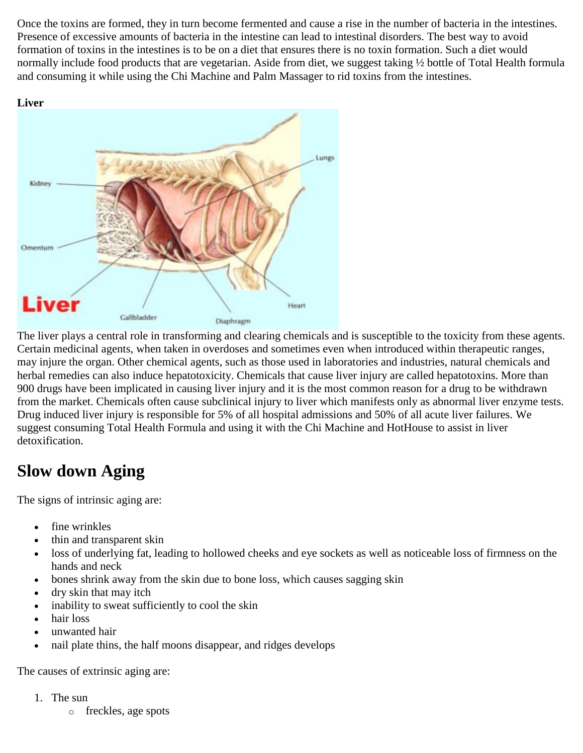Once the toxins are formed, they in turn become fermented and cause a rise in the number of bacteria in the intestines. Presence of excessive amounts of bacteria in the intestine can lead to intestinal disorders. The best way to avoid formation of toxins in the intestines is to be on a diet that ensures there is no toxin formation. Such a diet would normally include food products that are vegetarian. Aside from diet, we suggest taking  $\frac{1}{2}$  bottle of Total Health formula and consuming it while using the Chi Machine and Palm Massager to rid toxins from the intestines.





The liver plays a central role in transforming and clearing chemicals and is susceptible to the toxicity from these agents. Certain medicinal agents, when taken in overdoses and sometimes even when introduced within therapeutic ranges, may injure the organ. Other chemical agents, such as those used in laboratories and industries, natural chemicals and herbal remedies can also induce hepatotoxicity. Chemicals that cause liver injury are called hepatotoxins. More than 900 drugs have been implicated in causing liver injury and it is the most common reason for a drug to be withdrawn from the market. Chemicals often cause subclinical injury to liver which manifests only as abnormal liver enzyme tests. Drug induced liver injury is responsible for 5% of all hospital admissions and 50% of all acute liver failures. We suggest consuming Total Health Formula and using it with the Chi Machine and HotHouse to assist in liver detoxification.

# **Slow down Aging**

The signs of intrinsic aging are:

- fine wrinkles
- thin and transparent skin
- loss of underlying fat, leading to hollowed cheeks and eye sockets as well as noticeable loss of firmness on the hands and neck
- bones shrink away from the skin due to bone loss, which causes sagging skin
- dry skin that may itch
- inability to sweat sufficiently to cool the skin
- hair loss
- unwanted hair
- nail plate thins, the half moons disappear, and ridges develops

The causes of extrinsic aging are:

- 1. The sun
	- o freckles, age spots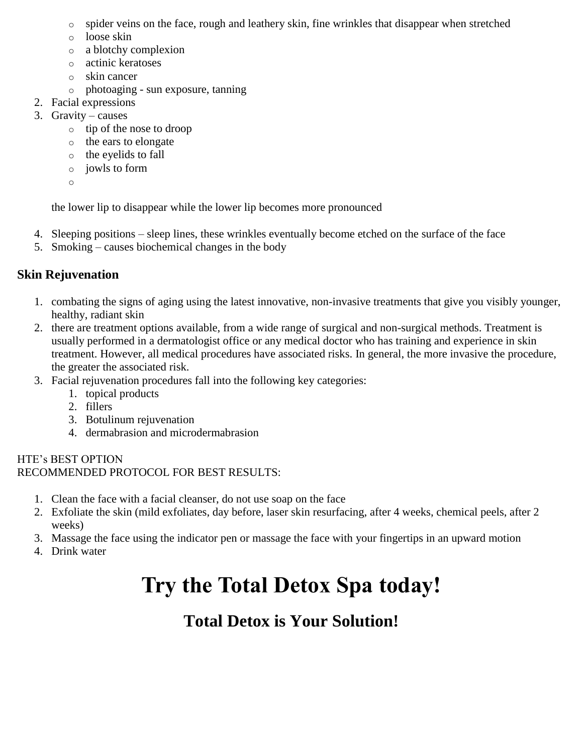- o spider veins on the face, rough and leathery skin, fine wrinkles that disappear when stretched
- o loose skin
- o a blotchy complexion
- o actinic keratoses
- o skin cancer
- o photoaging sun exposure, tanning
- 2. Facial expressions
- 3. Gravity causes
	- o tip of the nose to droop
	- o the ears to elongate
	- o the eyelids to fall
	- o jowls to form
	- o

the lower lip to disappear while the lower lip becomes more pronounced

- 4. Sleeping positions sleep lines, these wrinkles eventually become etched on the surface of the face
- 5. Smoking causes biochemical changes in the body

# **Skin Rejuvenation**

- 1. combating the signs of aging using the latest innovative, non-invasive treatments that give you visibly younger, healthy, radiant skin
- 2. there are treatment options available, from a wide range of surgical and non-surgical methods. Treatment is usually performed in a dermatologist office or any medical doctor who has training and experience in skin treatment. However, all medical procedures have associated risks. In general, the more invasive the procedure, the greater the associated risk.
- 3. Facial rejuvenation procedures fall into the following key categories:
	- 1. topical products
	- 2. fillers
	- 3. Botulinum rejuvenation
	- 4. dermabrasion and microdermabrasion

#### HTE's BEST OPTION RECOMMENDED PROTOCOL FOR BEST RESULTS:

- 1. Clean the face with a facial cleanser, do not use soap on the face
- 2. Exfoliate the skin (mild exfoliates, day before, laser skin resurfacing, after 4 weeks, chemical peels, after 2 weeks)
- 3. Massage the face using the indicator pen or massage the face with your fingertips in an upward motion
- 4. Drink water

# **Try the Total Detox Spa today!**

# **Total Detox is Your Solution!**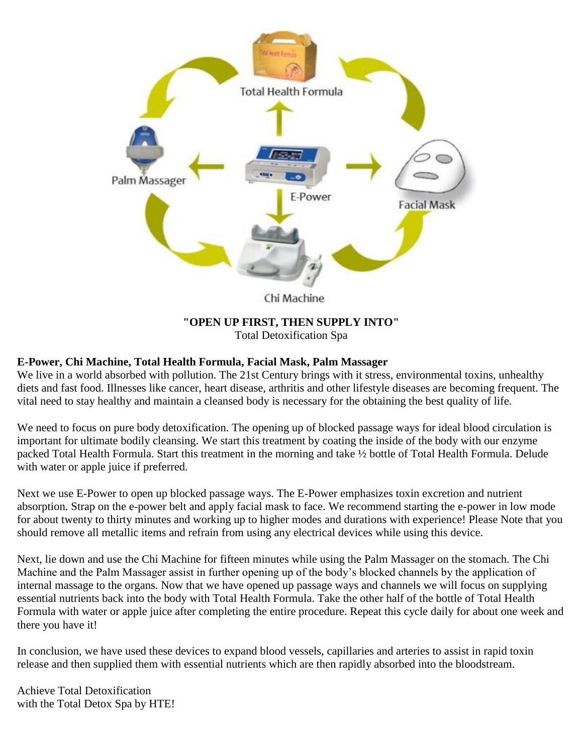

#### **"OPEN UP FIRST, THEN SUPPLY INTO"** Total Detoxification Spa

#### **E-Power, Chi Machine, Total Health Formula, Facial Mask, Palm Massager**

We live in a world absorbed with pollution. The 21st Century brings with it stress, environmental toxins, unhealthy diets and fast food. Illnesses like cancer, heart disease, arthritis and other lifestyle diseases are becoming frequent. The vital need to stay healthy and maintain a cleansed body is necessary for the obtaining the best quality of life.

We need to focus on pure body detoxification. The opening up of blocked passage ways for ideal blood circulation is important for ultimate bodily cleansing. We start this treatment by coating the inside of the body with our enzyme packed Total Health Formula. Start this treatment in the morning and take ½ bottle of Total Health Formula. Delude with water or apple juice if preferred.

Next we use E-Power to open up blocked passage ways. The E-Power emphasizes toxin excretion and nutrient absorption. Strap on the e-power belt and apply facial mask to face. We recommend starting the e-power in low mode for about twenty to thirty minutes and working up to higher modes and durations with experience! Please Note that you should remove all metallic items and refrain from using any electrical devices while using this device.

Next, lie down and use the Chi Machine for fifteen minutes while using the Palm Massager on the stomach. The Chi Machine and the Palm Massager assist in further opening up of the body's blocked channels by the application of internal massage to the organs. Now that we have opened up passage ways and channels we will focus on supplying essential nutrients back into the body with Total Health Formula. Take the other half of the bottle of Total Health Formula with water or apple juice after completing the entire procedure. Repeat this cycle daily for about one week and there you have it!

In conclusion, we have used these devices to expand blood vessels, capillaries and arteries to assist in rapid toxin release and then supplied them with essential nutrients which are then rapidly absorbed into the bloodstream.

Achieve Total Detoxification with the Total Detox Spa by HTE!